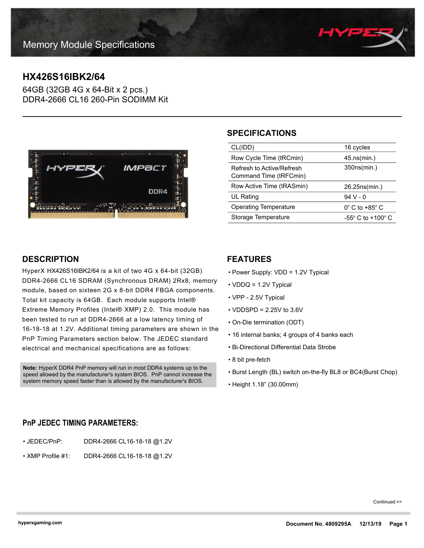

# **HX426S16IBK2/64**

64GB (32GB 4G x 64-Bit x 2 pcs.) DDR4-2666 CL16 260-Pin SODIMM Kit



# **SPECIFICATIONS**

| CL(IDD)                                             | 16 cycles                           |
|-----------------------------------------------------|-------------------------------------|
| Row Cycle Time (tRCmin)                             | 45.ns(min.)                         |
| Refresh to Active/Refresh<br>Command Time (tRFCmin) | 350ns(min.)                         |
| Row Active Time (tRASmin)                           | 26.25ns(min.)                       |
| <b>UL Rating</b>                                    | $94V - 0$                           |
| Operating Temperature                               | $0^{\circ}$ C to +85 $^{\circ}$ C   |
| Storage Temperature                                 | $-55^{\circ}$ C to $+100^{\circ}$ C |

## **DESCRIPTION**

HyperX HX426S16IBK2/64 is a kit of two 4G x 64-bit (32GB) DDR4-2666 CL16 SDRAM (Synchronous DRAM) 2Rx8, memory module, based on sixteen 2G x 8-bit DDR4 FBGA components. Total kit capacity is 64GB. Each module supports Intel® Extreme Memory Profiles (Intel® XMP) 2.0. This module has been tested to run at DDR4-2666 at a low latency timing of 16-18-18 at 1.2V. Additional timing parameters are shown in the PnP Timing Parameters section below. The JEDEC standard electrical and mechanical specifications are as follows:

**Note:** HyperX DDR4 PnP memory will run in most DDR4 systems up to the speed allowed by the manufacturer's system BIOS. PnP cannot increase the system memory speed faster than is allowed by the manufacturer's BIOS.

## **FEATURES**

- Power Supply: VDD = 1.2V Typical
- VDDQ = 1.2V Typical
- VPP 2.5V Typical
- $\cdot$  VDDSPD = 2.25V to 3.6V
- On-Die termination (ODT)
- 16 internal banks; 4 groups of 4 banks each
- Bi-Directional Differential Data Strobe
- 8 bit pre-fetch
- Burst Length (BL) switch on-the-fly BL8 or BC4(Burst Chop)
- Height 1.18" (30.00mm)

### **PnP JEDEC TIMING PARAMETERS:**

- JEDEC/PnP: DDR4-2666 CL16-18-18 @1.2V
- XMP Profile #1: DDR4-2666 CL16-18-18 @1.2V

Continued >>